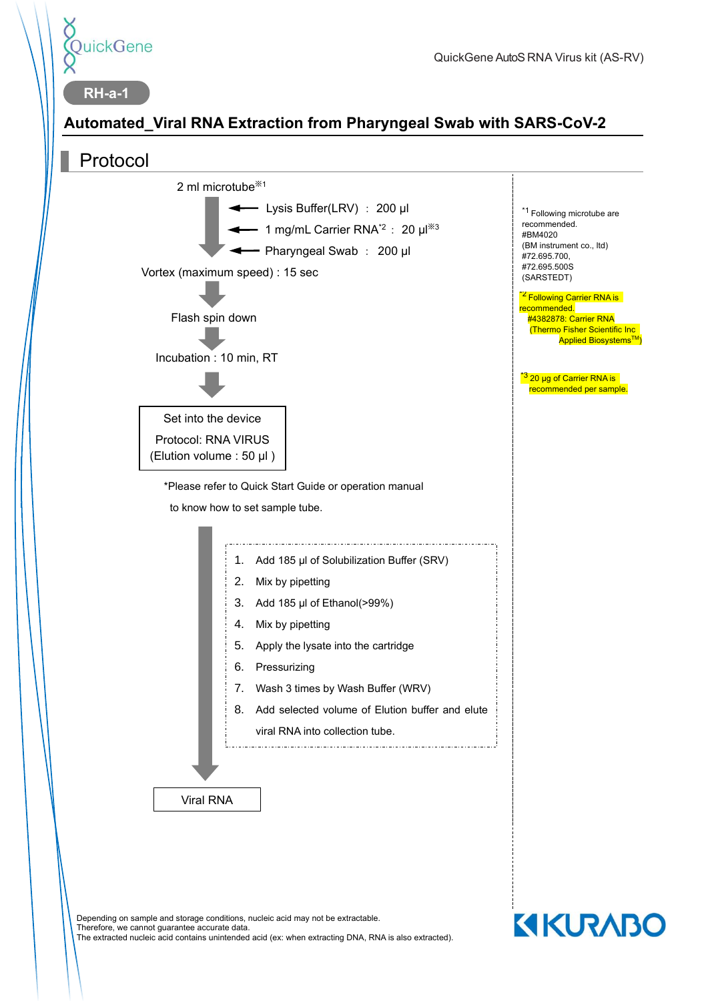

**KIKURABO** 

## **Automated\_Viral RNA Extraction from Pharyngeal Swab with SARS-CoV-2**



Depending on sample and storage conditions, nucleic acid may not be extractable. Therefore, we cannot guarantee accurate data. The extracted nucleic acid contains unintended acid (ex: when extracting DNA, RNA is also extracted).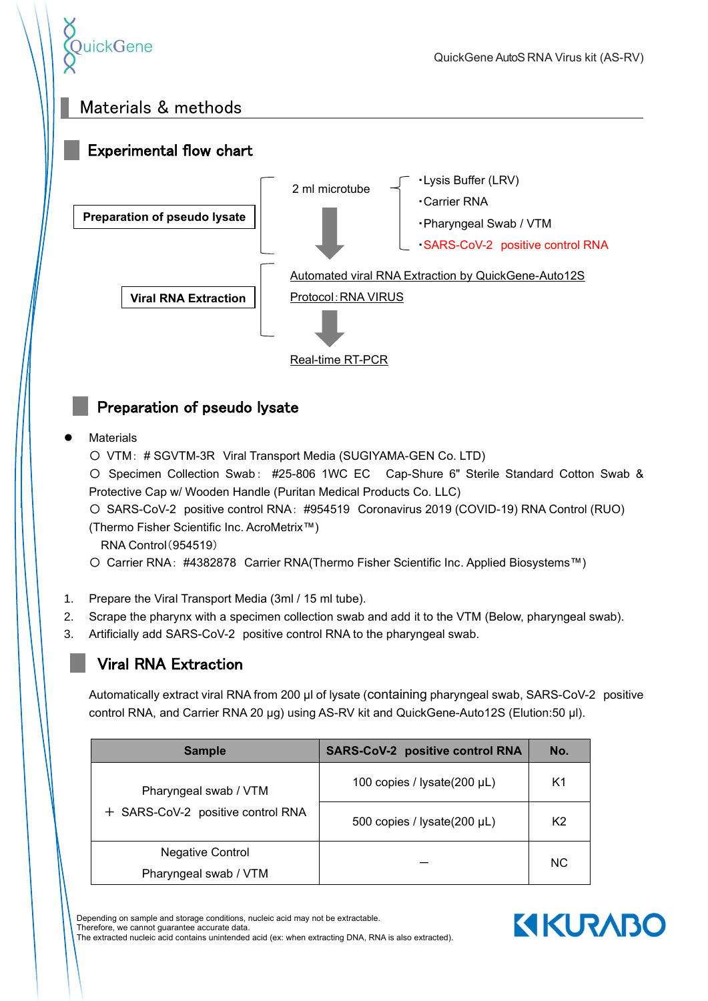

## Materials & methods



## Preparation of pseudo lysate

#### **Materials**

- 〇 VTM: # SGVTM-3R Viral Transport Media (SUGIYAMA-GEN Co. LTD)
- 〇 Specimen Collection Swab: #25-806 1WC EC Cap-Shure 6" Sterile Standard Cotton Swab & Protective Cap w/ Wooden Handle (Puritan Medical Products Co. LLC)
- 〇 SARS-CoV-2 positive control RNA: #954519 Coronavirus 2019 (COVID-19) RNA Control (RUO)

(Thermo Fisher Scientific Inc. AcroMetrix™)

- RNA Control(954519)
- 〇 Carrier RNA: #4382878 Carrier RNA(Thermo Fisher Scientific Inc. Applied Biosystems™)
- 1. Prepare the Viral Transport Media (3ml / 15 ml tube).
- 2. Scrape the pharynx with a specimen collection swab and add it to the VTM (Below, pharyngeal swab).
- 3. Artificially add SARS-CoV-2 positive control RNA to the pharyngeal swab.

## Viral RNA Extraction

Automatically extract viral RNA from 200 µl of lysate (containing pharyngeal swab, SARS-CoV-2 positive control RNA, and Carrier RNA 20 µg) using AS-RV kit and QuickGene-Auto12S (Elution:50 µl).

| <b>Sample</b>                                              | <b>SARS-CoV-2 positive control RNA</b> | No.            |
|------------------------------------------------------------|----------------------------------------|----------------|
| Pharyngeal swab / VTM<br>+ SARS-CoV-2 positive control RNA | 100 copies / lysate(200 µL)            | K1             |
|                                                            | 500 copies / lysate(200 µL)            | K <sub>2</sub> |
| <b>Negative Control</b><br>Pharyngeal swab / VTM           |                                        | <b>NC</b>      |

Depending on sample and storage conditions, nucleic acid may not be extractable. Therefore, we cannot guarantee accurate data. The extracted nucleic acid contains unintended acid (ex: when extracting DNA, RNA is also extracted). **KIKURABO**